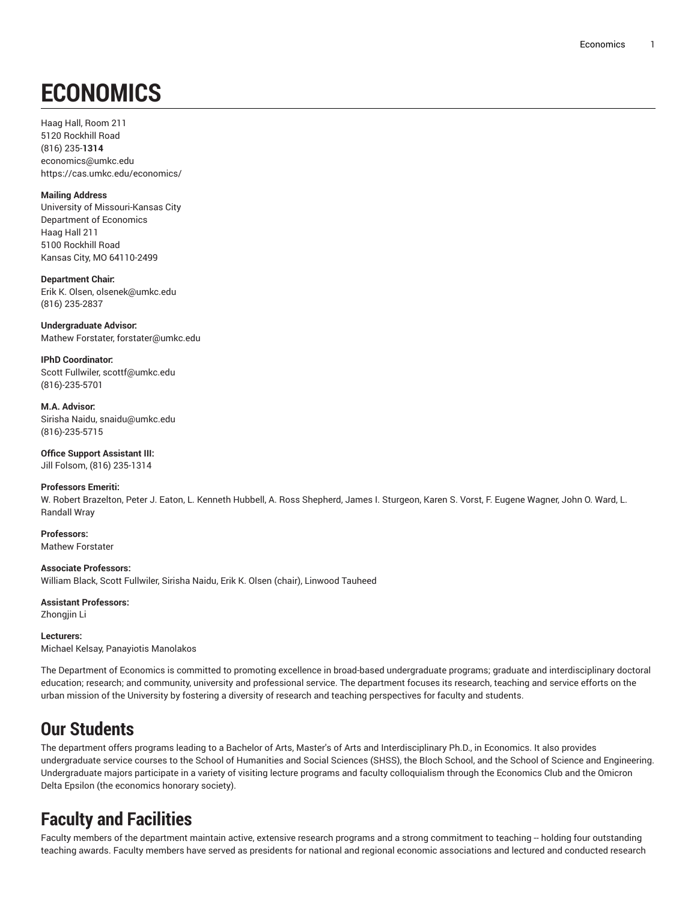# **ECONOMICS**

Haag Hall, Room 211 5120 Rockhill Road (816) 235-**1314** [economics@umkc.edu](mailto:economics@umkc.edu) <https://cas.umkc.edu/economics/>

#### **Mailing Address**

University of Missouri-Kansas City Department of Economics Haag Hall 211 5100 Rockhill Road Kansas City, MO 64110-2499

**Department Chair:** Erik K. Olsen, [olsenek@umkc.edu](mailto:olsenek@umkc.edu) (816) 235-2837

**Undergraduate Advisor:** Mathew Forstater, [forstater@umkc.edu](mailto:forstater@umkc.edu)

**IPhD Coordinator:** Scott Fullwiler, [scottf@umkc.edu](mailto:scottf@umkc.edu) (816)-235-5701

**M.A. Advisor:** Sirisha Naidu, [snaidu@umkc.edu](mailto:snaidu@umkc.edu) (816)-235-5715

#### **Office Support Assistant III:** Jill Folsom, (816) 235-1314

#### **Professors Emeriti:**

W. Robert Brazelton, Peter J. Eaton, L. Kenneth Hubbell, A. Ross Shepherd, James I. Sturgeon, Karen S. Vorst, F. Eugene Wagner, John O. Ward, L. Randall Wray

**Professors:** Mathew Forstater

**Associate Professors:** William Black, Scott Fullwiler, Sirisha Naidu, Erik K. Olsen (chair), Linwood Tauheed

**Assistant Professors:** Zhongjin Li

**Lecturers:** Michael Kelsay, Panayiotis Manolakos

The Department of Economics is committed to promoting excellence in broad-based undergraduate programs; graduate and interdisciplinary doctoral education; research; and community, university and professional service. The department focuses its research, teaching and service efforts on the urban mission of the University by fostering a diversity of research and teaching perspectives for faculty and students.

### **Our Students**

The department offers programs leading to a Bachelor of Arts, Master's of Arts and Interdisciplinary Ph.D., in Economics. It also provides undergraduate service courses to the School of Humanities and Social Sciences (SHSS), the Bloch School, and the School of Science and Engineering. Undergraduate majors participate in a variety of visiting lecture programs and faculty colloquialism through the Economics Club and the Omicron Delta Epsilon (the economics honorary society).

## **Faculty and Facilities**

Faculty members of the department maintain active, extensive research programs and a strong commitment to teaching -- holding four outstanding teaching awards. Faculty members have served as presidents for national and regional economic associations and lectured and conducted research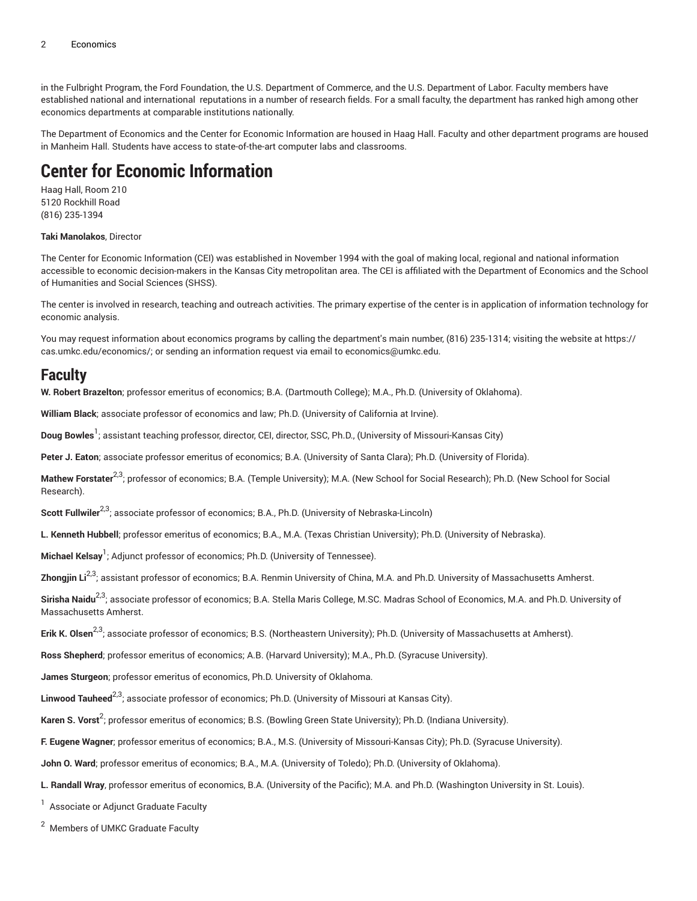in the Fulbright Program, the Ford Foundation, the U.S. Department of Commerce, and the U.S. Department of Labor. Faculty members have established national and international reputations in a number of research fields. For a small faculty, the department has ranked high among other economics departments at comparable institutions nationally.

The Department of Economics and the Center for Economic Information are housed in Haag Hall. Faculty and other department programs are housed in Manheim Hall. Students have access to state-of-the-art computer labs and classrooms.

### **Center for Economic Information**

Haag Hall, Room 210 5120 Rockhill Road (816) 235-1394

#### **Taki Manolakos**, Director

The Center for Economic Information (CEI) was established in November 1994 with the goal of making local, regional and national information accessible to economic decision-makers in the Kansas City metropolitan area. The CEI is affiliated with the Department of Economics and the School of Humanities and Social Sciences (SHSS).

The center is involved in research, teaching and outreach activities. The primary expertise of the center is in application of information technology for economic analysis.

You may request information about economics programs by calling the department's main number, (816) 235-1314; visiting the website at [https://](https://cas.umkc.edu/economics/) [cas.umkc.edu/economics/](https://cas.umkc.edu/economics/); or sending an information request via email to [economics@umkc.edu](mailto:economics@umkc.edu).

#### **Faculty**

**W. Robert Brazelton**; professor emeritus of economics; B.A. (Dartmouth College); M.A., Ph.D. (University of Oklahoma).

**William Black**; associate professor of economics and law; Ph.D. (University of California at Irvine).

**Doug Bowles**<sup>1</sup> ; assistant teaching professor, director, CEI, director, SSC, Ph.D., (University of Missouri-Kansas City)

**Peter J. Eaton**; associate professor emeritus of economics; B.A. (University of Santa Clara); Ph.D. (University of Florida).

**Mathew Forstater** 2,3; professor of economics; B.A. (Temple University); M.A. (New School for Social Research); Ph.D. (New School for Social Research).

**Scott Fullwiler** 2,3; associate professor of economics; B.A., Ph.D. (University of Nebraska-Lincoln)

**L. Kenneth Hubbell**; professor emeritus of economics; B.A., M.A. (Texas Christian University); Ph.D. (University of Nebraska).

**Michael Kelsay** 1 ; Adjunct professor of economics; Ph.D. (University of Tennessee).

**Zhongjin Li**2,3; assistant professor of economics; B.A. Renmin University of China, M.A. and Ph.D. University of Massachusetts Amherst.

Sirisha Naidu<sup>2,3</sup>; associate professor of economics; B.A. Stella Maris College, M.SC. Madras School of Economics, M.A. and Ph.D. University of Massachusetts Amherst.

**Erik K. Olsen<sup>2,3</sup>;** associate professor of economics; B.S. (Northeastern University); Ph.D. (University of Massachusetts at Amherst).

**Ross Shepherd**; professor emeritus of economics; A.B. (Harvard University); M.A., Ph.D. (Syracuse University).

**James Sturgeon**; professor emeritus of economics, Ph.D. University of Oklahoma.

**Linwood Tauheed** 2,3; associate professor of economics; Ph.D. (University of Missouri at Kansas City).

**Karen S. Vorst** 2 ; professor emeritus of economics; B.S. (Bowling Green State University); Ph.D. (Indiana University).

**F. Eugene Wagner**; professor emeritus of economics; B.A., M.S. (University of Missouri-Kansas City); Ph.D. (Syracuse University).

**John O. Ward**; professor emeritus of economics; B.A., M.A. (University of Toledo); Ph.D. (University of Oklahoma).

**L. Randall Wray**, professor emeritus of economics, B.A. (University of the Pacific); M.A. and Ph.D. (Washington University in St. Louis).

<sup>1</sup> Associate or Adjunct Graduate Faculty

<sup>2</sup> Members of UMKC Graduate Faculty